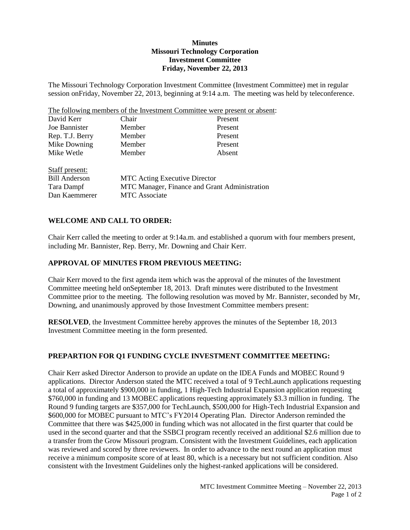## **Minutes Missouri Technology Corporation Investment Committee Friday, November 22, 2013**

The Missouri Technology Corporation Investment Committee (Investment Committee) met in regular session onFriday, November 22, 2013, beginning at 9:14 a.m. The meeting was held by teleconference.

The following members of the Investment Committee were present or absent:

| David Kerr           | Chair                                         | Present |
|----------------------|-----------------------------------------------|---------|
| Joe Bannister        | Member                                        | Present |
| Rep. T.J. Berry      | Member                                        | Present |
| Mike Downing         | Member                                        | Present |
| Mike Wetle           | Member                                        | Absent  |
| Staff present:       |                                               |         |
| <b>Bill Anderson</b> | <b>MTC</b> Acting Executive Director          |         |
| Tara Dampf           | MTC Manager, Finance and Grant Administration |         |
| Dan Kaemmerer        | <b>MTC</b> Associate                          |         |

## **WELCOME AND CALL TO ORDER:**

Chair Kerr called the meeting to order at 9:14a.m. and established a quorum with four members present, including Mr. Bannister, Rep. Berry, Mr. Downing and Chair Kerr.

### **APPROVAL OF MINUTES FROM PREVIOUS MEETING:**

Chair Kerr moved to the first agenda item which was the approval of the minutes of the Investment Committee meeting held onSeptember 18, 2013. Draft minutes were distributed to the Investment Committee prior to the meeting. The following resolution was moved by Mr. Bannister, seconded by Mr, Downing, and unanimously approved by those Investment Committee members present:

**RESOLVED**, the Investment Committee hereby approves the minutes of the September 18, 2013 Investment Committee meeting in the form presented.

#### **PREPARTION FOR Q1 FUNDING CYCLE INVESTMENT COMMITTEE MEETING:**

Chair Kerr asked Director Anderson to provide an update on the IDEA Funds and MOBEC Round 9 applications. Director Anderson stated the MTC received a total of 9 TechLaunch applications requesting a total of approximately \$900,000 in funding, 1 High-Tech Industrial Expansion application requesting \$760,000 in funding and 13 MOBEC applications requesting approximately \$3.3 million in funding. The Round 9 funding targets are \$357,000 for TechLaunch, \$500,000 for High-Tech Industrial Expansion and \$600,000 for MOBEC pursuant to MTC's FY2014 Operating Plan. Director Anderson reminded the Committee that there was \$425,000 in funding which was not allocated in the first quarter that could be used in the second quarter and that the SSBCI program recently received an additional \$2.6 million due to a transfer from the Grow Missouri program. Consistent with the Investment Guidelines, each application was reviewed and scored by three reviewers. In order to advance to the next round an application must receive a minimum composite score of at least 80, which is a necessary but not sufficient condition. Also consistent with the Investment Guidelines only the highest-ranked applications will be considered.